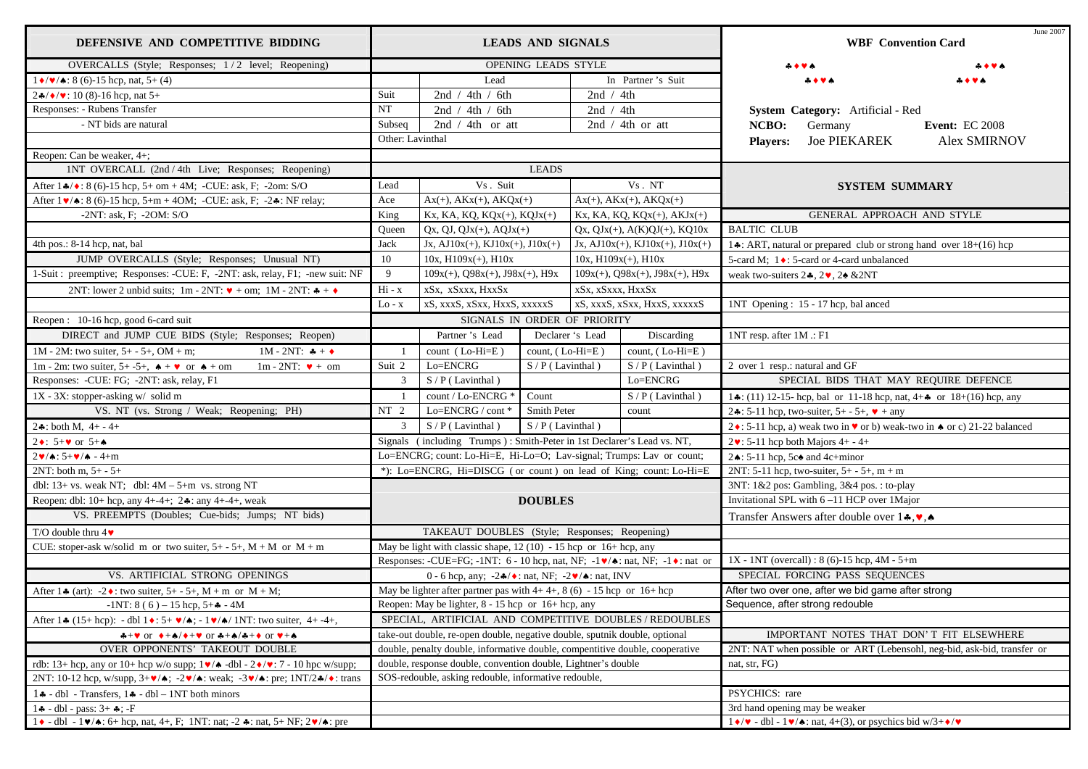| DEFENSIVE AND COMPETITIVE BIDDING                                                                                                                                                                                                                                                                        | <b>LEADS AND SIGNALS</b>                                                     |                                                                        |                                               | June 2007<br><b>WBF</b> Convention Card                                 |                                                        |                                                                           |                                                                                                      |                       |
|----------------------------------------------------------------------------------------------------------------------------------------------------------------------------------------------------------------------------------------------------------------------------------------------------------|------------------------------------------------------------------------------|------------------------------------------------------------------------|-----------------------------------------------|-------------------------------------------------------------------------|--------------------------------------------------------|---------------------------------------------------------------------------|------------------------------------------------------------------------------------------------------|-----------------------|
| OVERCALLS (Style; Responses; 1/2 level; Reopening)                                                                                                                                                                                                                                                       | OPENING LEADS STYLE                                                          |                                                                        |                                               |                                                                         |                                                        |                                                                           |                                                                                                      |                       |
| $1 \cdot \sqrt{\bullet}$ : 8 (6)-15 hcp, nat, 5+ (4)                                                                                                                                                                                                                                                     | Lead                                                                         |                                                                        | In Partner's Suit                             |                                                                         |                                                        |                                                                           |                                                                                                      |                       |
| $2\cdot\sqrt{\bullet/\bullet}$ : 10 (8)-16 hcp, nat 5+                                                                                                                                                                                                                                                   | Suit                                                                         | 2nd / 4th / 6th                                                        |                                               | 2nd $/ 4th$                                                             |                                                        |                                                                           |                                                                                                      |                       |
| Responses: - Rubens Transfer                                                                                                                                                                                                                                                                             | $\rm{NT}$                                                                    | 2nd / 4th / 6th                                                        |                                               | 2nd $/ 4th$                                                             |                                                        |                                                                           | System Category: Artificial - Red                                                                    |                       |
| - NT bids are natural                                                                                                                                                                                                                                                                                    | Subseq                                                                       | 2nd $/ 4th$ or att                                                     |                                               | 2nd $/$ 4th or att                                                      |                                                        | NCBO:                                                                     | Germany                                                                                              | <b>Event: EC 2008</b> |
|                                                                                                                                                                                                                                                                                                          | Other: Lavinthal                                                             |                                                                        |                                               |                                                                         |                                                        | <b>Players:</b>                                                           | <b>Joe PIEKAREK</b>                                                                                  | <b>Alex SMIRNOV</b>   |
| Reopen: Can be weaker, 4+;                                                                                                                                                                                                                                                                               |                                                                              |                                                                        |                                               |                                                                         |                                                        |                                                                           |                                                                                                      |                       |
| 1NT OVERCALL (2nd / 4th Live; Responses; Reopening)                                                                                                                                                                                                                                                      | <b>LEADS</b>                                                                 |                                                                        |                                               |                                                                         |                                                        |                                                                           |                                                                                                      |                       |
| After $1\cdot\!\!\!\!\star/\bullet$ : 8 (6)-15 hcp, 5+ om + 4M; -CUE: ask, F; -2om: S/O                                                                                                                                                                                                                  | Lead                                                                         | Vs. Suit<br>Vs. NT                                                     |                                               |                                                                         | <b>SYSTEM SUMMARY</b>                                  |                                                                           |                                                                                                      |                       |
| After $1 \vee 8$ (6)-15 hcp, 5+m + 4OM; -CUE: ask, F; -2.: NF relay;                                                                                                                                                                                                                                     | Ace                                                                          | $Ax(+), AKx(+), AKQx(+)$                                               | $Ax(+)$ , $AKx(+)$ , $AKQx(+)$                |                                                                         |                                                        |                                                                           |                                                                                                      |                       |
| $-2NT$ : ask, F; $-2OM$ : S/O                                                                                                                                                                                                                                                                            | King                                                                         | Kx, KA, KQ, KQx(+), KQJx(+)                                            |                                               | $Kx$ , KA, KQ, KQ $x(+)$ , AKJ $x(+)$                                   |                                                        |                                                                           | GENERAL APPROACH AND STYLE                                                                           |                       |
|                                                                                                                                                                                                                                                                                                          | Queen                                                                        | $Qx, QJ, QJx(+), AQJx(+)$                                              |                                               |                                                                         | $Qx, QJx(+), A(K)QJ(+), KQ10x$                         | <b>BALTIC CLUB</b>                                                        |                                                                                                      |                       |
| 4th pos.: 8-14 hcp, nat, bal                                                                                                                                                                                                                                                                             | Jack                                                                         |                                                                        | $Jx$ , AJ $10x(+)$ , KJ $10x(+)$ , J $10x(+)$ |                                                                         | $Jx$ , AJ $10x(+)$ , KJ $10x(+)$ , J $10x(+)$          | 14: ART, natural or prepared club or strong hand over 18+(16) hcp         |                                                                                                      |                       |
| JUMP OVERCALLS (Style; Responses; Unusual NT)                                                                                                                                                                                                                                                            | 10                                                                           | $10x, H109x(+)$ , $H10x$                                               |                                               | $10x$ , $H109x(+)$ , $H10x$                                             |                                                        | 5-card M; 1 ♦: 5-card or 4-card unbalanced                                |                                                                                                      |                       |
| 1-Suit : preemptive; Responses: -CUE: F, -2NT: ask, relay, F1; -new suit: NF                                                                                                                                                                                                                             | 9                                                                            | $109x(+)$ , Q98 $x(+)$ , J98 $x(+)$ , H9x                              | $109x(+)$ , $Q98x(+)$ , $J98x(+)$ , $H9x$     |                                                                         |                                                        | weak two-suiters $2*, 2, 2, 2$ & 2NT                                      |                                                                                                      |                       |
| 2NT: lower 2 unbid suits; 1m - 2NT: $\triangledown +$ om; 1M - 2NT: $\triangledown +$ $\triangledown$                                                                                                                                                                                                    | $Hi - x$                                                                     | xSx, xSxxx, HxxSx                                                      | xSx. xSxxx. HxxSx                             |                                                                         |                                                        |                                                                           |                                                                                                      |                       |
|                                                                                                                                                                                                                                                                                                          | $Lo - x$                                                                     | xS, xxxS, xSxx, HxxS, xxxxxS                                           |                                               |                                                                         | xS, xxxS, xSxx, HxxS, xxxxxS                           |                                                                           | 1NT Opening: 15 - 17 hcp, bal anced                                                                  |                       |
| Reopen: 10-16 hcp, good 6-card suit                                                                                                                                                                                                                                                                      | SIGNALS IN ORDER OF PRIORITY                                                 |                                                                        |                                               |                                                                         |                                                        |                                                                           |                                                                                                      |                       |
| DIRECT and JUMP CUE BIDS (Style; Responses; Reopen)                                                                                                                                                                                                                                                      |                                                                              | Partner's Lead                                                         |                                               | Declarer 's Lead                                                        | Discarding                                             | 1NT resp. after 1M .: F1                                                  |                                                                                                      |                       |
| $1M - 2M$ : two suiter, 5+ - 5+, OM + m;<br>1M - 2NT: $* +$                                                                                                                                                                                                                                              |                                                                              | count (Lo-Hi=E)                                                        | count, (Lo-Hi=E)                              |                                                                         | count, $(Lo-Hi=E)$                                     |                                                                           |                                                                                                      |                       |
| 1m - 2m: two suiter, 5+-5+, $\triangle + \triangleright \triangleright$ or $\triangle +$ om<br>$1m - 2NT$ : $\blacktriangledown + om$                                                                                                                                                                    | Suit 2                                                                       | Lo=ENCRG                                                               | $S/P($ Lavinthal)                             |                                                                         | $S/P$ (Lavinthal)                                      | 2 over 1 resp.: natural and GF                                            |                                                                                                      |                       |
| Responses: -CUE: FG; -2NT: ask, relay, F1                                                                                                                                                                                                                                                                | $\mathbf{3}$                                                                 | $S/P$ (Lavinthal)                                                      |                                               |                                                                         | Lo=ENCRG                                               |                                                                           | SPECIAL BIDS THAT MAY REQUIRE DEFENCE                                                                |                       |
| 1X - 3X: stopper-asking w/ solid m                                                                                                                                                                                                                                                                       |                                                                              | count / Lo-ENCRG *<br>Count                                            |                                               |                                                                         | $S/P($ Lavinthal)                                      | 14: (11) 12-15-hcp, bal or 11-18 hcp, nat, $4+$ or $18+(16)$ hcp, any     |                                                                                                      |                       |
| VS. NT (vs. Strong / Weak; Reopening; PH)                                                                                                                                                                                                                                                                | NT <sub>2</sub>                                                              | Lo= $ENCRG / cont$ *                                                   | Smith Peter<br>count                          |                                                                         | 2. : 5-11 hcp, two-suiter, $5+ - 5+$ , $\bullet$ + any |                                                                           |                                                                                                      |                       |
| $2*:$ both M, $4+ - 4+$                                                                                                                                                                                                                                                                                  | $\mathbf{3}$                                                                 | $S/P$ (Lavinthal)                                                      | $S/P$ (Lavinthal)                             |                                                                         |                                                        | 2 ♦ : 5-11 hcp, a) weak two in ♥ or b) weak-two in ♦ or c) 21-22 balanced |                                                                                                      |                       |
| 2 $\bullet$ : 5+ $\bullet$ or 5+ $\bullet$                                                                                                                                                                                                                                                               |                                                                              | Signals (including Trumps): Smith-Peter in 1st Declarer's Lead vs. NT, |                                               |                                                                         | $2\cdot 5$ -11 hcp both Majors 4+ - 4+                 |                                                                           |                                                                                                      |                       |
| $2\mathbf{v}/\mathbf{A}$ : 5+ $\mathbf{v}/\mathbf{A}$ - 4+m                                                                                                                                                                                                                                              | Lo=ENCRG; count: Lo-Hi=E, Hi-Lo=O; Lav-signal; Trumps: Lav or count;         |                                                                        |                                               | 2. $\div$ 5-11 hcp, 5c $\triangle$ and 4c+minor                         |                                                        |                                                                           |                                                                                                      |                       |
| $2NT: both m, 5+ - 5+$                                                                                                                                                                                                                                                                                   | *): Lo=ENCRG, Hi=DISCG (or count) on lead of King; count: Lo-Hi=E            |                                                                        |                                               | 2NT: 5-11 hcp, two-suiter, $5+ - 5+$ , m + m                            |                                                        |                                                                           |                                                                                                      |                       |
| dbl: $13+$ vs. weak NT; dbl: $4M - 5+m$ vs. strong NT                                                                                                                                                                                                                                                    |                                                                              |                                                                        |                                               | 3NT: 1&2 pos: Gambling, 3&4 pos.: to-play                               |                                                        |                                                                           |                                                                                                      |                       |
| Reopen: dbl: 10+ hcp, any 4+-4+; $2$ *: any 4+-4+, weak                                                                                                                                                                                                                                                  |                                                                              |                                                                        | <b>DOUBLES</b>                                |                                                                         |                                                        | Invitational SPL with 6-11 HCP over 1Major                                |                                                                                                      |                       |
| VS. PREEMPTS (Doubles; Cue-bids; Jumps; NT bids)                                                                                                                                                                                                                                                         |                                                                              |                                                                        |                                               | Transfer Answers after double over $1*, \bullet, \bullet$               |                                                        |                                                                           |                                                                                                      |                       |
| T/O double thru $4\blacktriangledown$                                                                                                                                                                                                                                                                    | TAKEAUT DOUBLES (Style; Responses; Reopening)                                |                                                                        |                                               |                                                                         |                                                        |                                                                           |                                                                                                      |                       |
| CUE: stoper-ask w/solid m or two suiter, $5+ - 5+$ , $M + M$ or $M + m$                                                                                                                                                                                                                                  | May be light with classic shape, $12(10) - 15$ hcp or $16 +$ hcp, any        |                                                                        |                                               |                                                                         |                                                        |                                                                           |                                                                                                      |                       |
|                                                                                                                                                                                                                                                                                                          | Responses: -CUE=FG; -1NT: 6 - 10 hcp, nat, NF; -1 v/▲: nat, NF; -1 •: nat or |                                                                        |                                               |                                                                         | $1X - 1NT$ (overcall) : 8 (6)-15 hcp, 4M - 5+m         |                                                                           |                                                                                                      |                       |
| VS. ARTIFICIAL STRONG OPENINGS                                                                                                                                                                                                                                                                           | 0 - 6 hcp, any; $-2\frac{4}{3}$ : nat, NF; $-2\frac{4}{3}$ a: nat, INV       |                                                                        |                                               |                                                                         |                                                        |                                                                           | SPECIAL FORCING PASS SEQUENCES                                                                       |                       |
| After 1.4 (art): -2.1 two suiter, 5+ - 5+, M + m or M + M;                                                                                                                                                                                                                                               | May be lighter after partner pas with $4+4+$ , $8(6) - 15$ hcp or $16+$ hcp  |                                                                        |                                               |                                                                         |                                                        |                                                                           | After two over one, after we bid game after strong                                                   |                       |
| $-1NT: 8(6) - 15 hep, 5 + 4 - 4M$                                                                                                                                                                                                                                                                        | Reopen: May be lighter, 8 - 15 hcp or 16+ hcp, any                           |                                                                        |                                               |                                                                         |                                                        |                                                                           | Sequence, after strong redouble                                                                      |                       |
| After 1: (15+ hcp): - dbl 1: 5+ $\blacktriangledown/\blacktriangle$ ; - 1 $\blacktriangledown/\blacktriangle$ / 1NT: two suiter, 4+-4+,                                                                                                                                                                  | SPECIAL, ARTIFICIAL AND COMPETITIVE DOUBLES / REDOUBLES                      |                                                                        |                                               |                                                                         |                                                        |                                                                           |                                                                                                      |                       |
| $A + \vee$ or $A + A / A + \vee$ or $A + A / A + \lozenge$ or $A + A$                                                                                                                                                                                                                                    | take-out double, re-open double, negative double, sputnik double, optional   |                                                                        |                                               | IMPORTANT NOTES THAT DON'T FIT ELSEWHERE                                |                                                        |                                                                           |                                                                                                      |                       |
| OVER OPPONENTS' TAKEOUT DOUBLE                                                                                                                                                                                                                                                                           | double, penalty double, informative double, compentitive double, cooperative |                                                                        |                                               | 2NT: NAT when possible or ART (Lebensohl, neg-bid, ask-bid, transfer or |                                                        |                                                                           |                                                                                                      |                       |
| rdb: 13+ hcp, any or 10+ hcp w/o supp; $1 \vee / \triangle$ -dbl - $2 \vee / \vee$ : 7 - 10 hpc w/supp;                                                                                                                                                                                                  | double, response double, convention double, Lightner's double                |                                                                        |                                               | nat, str, FG)                                                           |                                                        |                                                                           |                                                                                                      |                       |
| 2NT: 10-12 hcp, w/supp, 3+ $\blacktriangledown/\blacktriangle$ ; -2 $\blacktriangledown/\blacktriangle$ : weak; -3 $\blacktriangledown/\blacktriangle$ : pre; 1NT/2 $\blacktriangle/\blacktriangle$ : trans                                                                                              | SOS-redouble, asking redouble, informative redouble,                         |                                                                        |                                               |                                                                         |                                                        |                                                                           |                                                                                                      |                       |
| $1 \cdot -$ dbl - Transfers, $1 \cdot -$ dbl - 1NT both minors                                                                                                                                                                                                                                           |                                                                              |                                                                        |                                               |                                                                         |                                                        | PSYCHICS: rare                                                            |                                                                                                      |                       |
| $1 - 1 + - 1 = 1 - 1 = 1 + 1 = 1 + 1 = 1 + 1 = 1 + 1 = 1 + 1 = 1 + 1 = 1 + 1 = 1 + 1 = 1 + 1 = 1 + 1 = 1 + 1 = 1 + 1 = 1 + 1 = 1 + 1 = 1 + 1 = 1 + 1 = 1 + 1 = 1 + 1 = 1 + 1 = 1 + 1 = 1 + 1 = 1 + 1 = 1 + 1 = 1 + 1 = 1 + 1 = 1 + 1 = 1 + 1 = 1 + 1 = 1 + 1 = 1 + 1 = 1 + 1 = 1 + 1 = 1 + 1 = 1 + 1 = $ |                                                                              |                                                                        |                                               |                                                                         |                                                        | 3rd hand opening may be weaker                                            |                                                                                                      |                       |
| $1 \cdot -$ dbl $-1 \cdot \cdot \cdot$ 6+ hcp, nat, 4+, F; 1NT: nat; -2 $\cdot$ : nat, 5+ NF; 2 $\cdot \cdot$ : pre                                                                                                                                                                                      |                                                                              |                                                                        |                                               |                                                                         |                                                        |                                                                           | $1 \cdot / \cdot \cdot$ - dbl - $1 \cdot / \cdot$ : nat, 4+(3), or psychics bid w/3+ $\cdot / \cdot$ |                       |